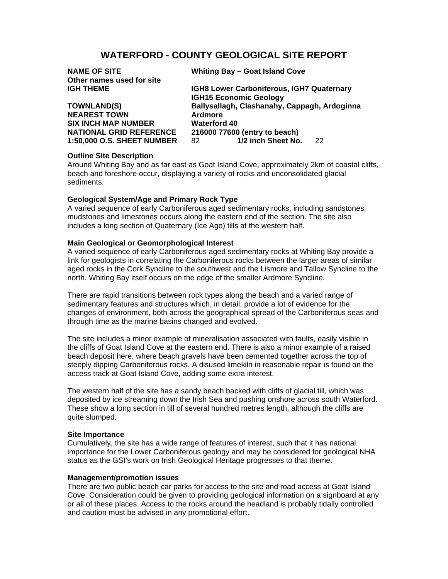# **WATERFORD - COUNTY GEOLOGICAL SITE REPORT**

| <b>NAME OF SITE</b>            | Whiting Bay - Goat Island Cove               |    |
|--------------------------------|----------------------------------------------|----|
| Other names used for site      |                                              |    |
| <b>IGH THEME</b>               | IGH8 Lower Carboniferous, IGH7 Quaternary    |    |
|                                | <b>IGH15 Economic Geology</b>                |    |
| <b>TOWNLAND(S)</b>             | Ballysallagh, Clashanahy, Cappagh, Ardoginna |    |
| <b>NEAREST TOWN</b>            | Ardmore                                      |    |
| <b>SIX INCH MAP NUMBER</b>     | <b>Waterford 40</b>                          |    |
| <b>NATIONAL GRID REFERENCE</b> | 216000 77600 (entry to beach)                |    |
| 1:50,000 O.S. SHEET NUMBER     | 1/2 inch Sheet No.<br>82                     | 22 |
|                                |                                              |    |

## **Outline Site Description**

Around Whiting Bay and as far east as Goat Island Cove, approximately 2km of coastal cliffs, beach and foreshore occur, displaying a variety of rocks and unconsolidated glacial sediments.

## **Geological System/Age and Primary Rock Type**

A varied sequence of early Carboniferous aged sedimentary rocks, including sandstones, mudstones and limestones occurs along the eastern end of the section. The site also includes a long section of Quaternary (Ice Age) tills at the western half.

# **Main Geological or Geomorphological Interest**

A varied sequence of early Carboniferous aged sedimentary rocks at Whiting Bay provide a link for geologists in correlating the Carboniferous rocks between the larger areas of similar aged rocks in the Cork Syncline to the southwest and the Lismore and Tallow Syncline to the north. Whiting Bay itself occurs on the edge of the smaller Ardmore Syncline.

There are rapid transitions between rock types along the beach and a varied range of sedimentary features and structures which, in detail, provide a lot of evidence for the changes of environment, both across the geographical spread of the Carboniferous seas and through time as the marine basins changed and evolved.

The site includes a minor example of mineralisation associated with faults, easily visible in the cliffs of Goat Island Cove at the eastern end. There is also a minor example of a raised beach deposit here, where beach gravels have been cemented together across the top of steeply dipping Carboniferous rocks. A disused limekiln in reasonable repair is found on the access track at Goat Island Cove, adding some extra interest.

The western half of the site has a sandy beach backed with cliffs of glacial till, which was deposited by ice streaming down the Irish Sea and pushing onshore across south Waterford. These show a long section in till of several hundred metres length, although the cliffs are quite slumped.

### **Site Importance**

Cumulatively, the site has a wide range of features of interest, such that it has national importance for the Lower Carboniferous geology and may be considered for geological NHA status as the GSI's work on Irish Geological Heritage progresses to that theme.

### **Management/promotion issues**

There are two public beach car parks for access to the site and road access at Goat Island Cove. Consideration could be given to providing geological information on a signboard at any or all of these places. Access to the rocks around the headland is probably tidally controlled and caution must be advised in any promotional effort.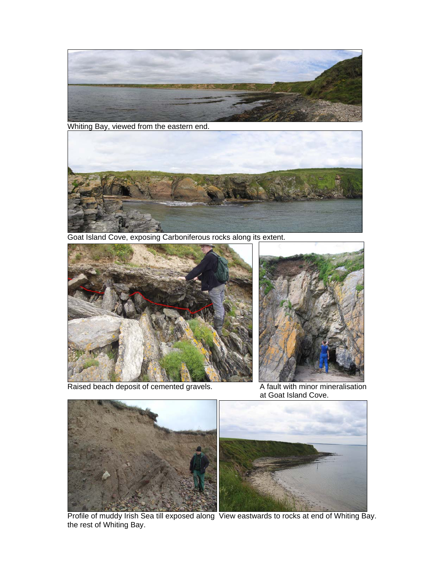

Whiting Bay, viewed from the eastern end.



Goat Island Cove, exposing Carboniferous rocks along its extent.



Raised beach deposit of cemented gravels. A fault with minor mineralisation



at Goat Island Cove.



 Profile of muddy Irish Sea till exposed along View eastwards to rocks at end of Whiting Bay. the rest of Whiting Bay.